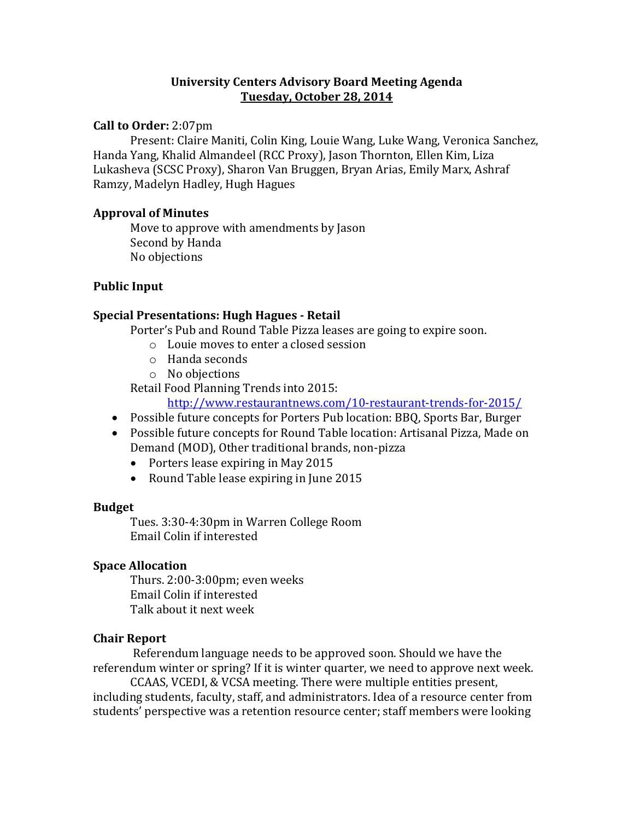### **University Centers Advisory Board Meeting Agenda Tuesday, October 28, 2014**

### **Call to Order:** 2:07pm

Present: Claire Maniti, Colin King, Louie Wang, Luke Wang, Veronica Sanchez, Handa Yang, Khalid Almandeel (RCC Proxy), Jason Thornton, Ellen Kim, Liza Lukasheva (SCSC Proxy), Sharon Van Bruggen, Bryan Arias, Emily Marx, Ashraf Ramzy, Madelyn Hadley, Hugh Hagues

#### **Approval of Minutes**

Move to approve with amendments by Jason Second by Handa No objections

# **Public Input**

### **Special Presentations: Hugh Hagues - Retail**

Porter's Pub and Round Table Pizza leases are going to expire soon.

- o Louie moves to enter a closed session
- o Handa seconds
- o No objections

Retail Food Planning Trends into 2015:

<http://www.restaurantnews.com/10-restaurant-trends-for-2015/>

- Possible future concepts for Porters Pub location: BBQ, Sports Bar, Burger
- Possible future concepts for Round Table location: Artisanal Pizza, Made on Demand (MOD), Other traditional brands, non-pizza
	- Porters lease expiring in May 2015
	- Round Table lease expiring in June 2015

#### **Budget**

Tues. 3:30-4:30pm in Warren College Room Email Colin if interested

# **Space Allocation**

Thurs. 2:00-3:00pm; even weeks Email Colin if interested Talk about it next week

#### **Chair Report**

Referendum language needs to be approved soon. Should we have the referendum winter or spring? If it is winter quarter, we need to approve next week.

CCAAS, VCEDI, & VCSA meeting. There were multiple entities present, including students, faculty, staff, and administrators. Idea of a resource center from students' perspective was a retention resource center; staff members were looking